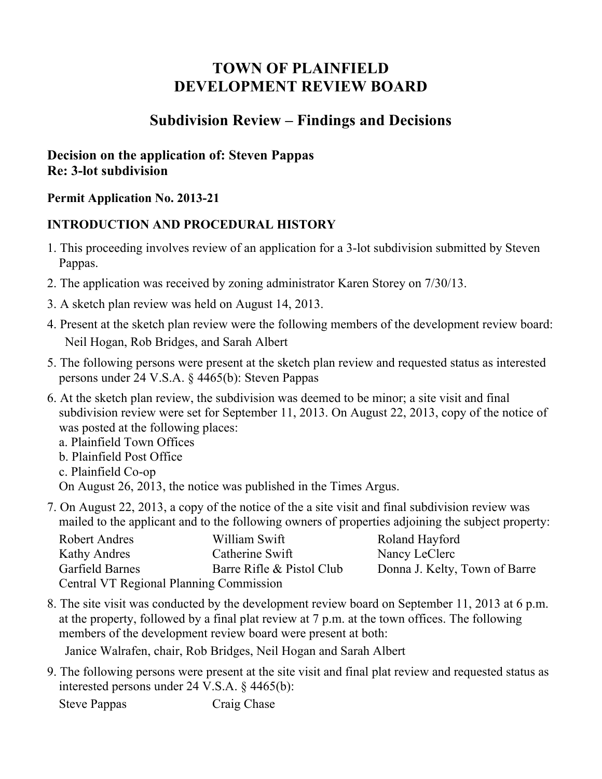# **TOWN OF PLAINFIELD DEVELOPMENT REVIEW BOARD**

## **Subdivision Review – Findings and Decisions**

## **Decision on the application of: Steven Pappas Re: 3-lot subdivision**

#### **Permit Application No. 2013-21**

### **INTRODUCTION AND PROCEDURAL HISTORY**

- 1. This proceeding involves review of an application for a 3-lot subdivision submitted by Steven Pappas.
- 2. The application was received by zoning administrator Karen Storey on 7/30/13.
- 3. A sketch plan review was held on August 14, 2013.
- 4. Present at the sketch plan review were the following members of the development review board: Neil Hogan, Rob Bridges, and Sarah Albert
- 5. The following persons were present at the sketch plan review and requested status as interested persons under 24 V.S.A. § 4465(b): Steven Pappas
- 6. At the sketch plan review, the subdivision was deemed to be minor; a site visit and final subdivision review were set for September 11, 2013. On August 22, 2013, copy of the notice of was posted at the following places:

a. Plainfield Town Offices

- b. Plainfield Post Office
- c. Plainfield Co-op
- On August 26, 2013, the notice was published in the Times Argus.
- 7. On August 22, 2013, a copy of the notice of the a site visit and final subdivision review was mailed to the applicant and to the following owners of properties adjoining the subject property:

| Robert Andres                                  | William Swift             | Roland Hayford                |
|------------------------------------------------|---------------------------|-------------------------------|
| Kathy Andres                                   | Catherine Swift           | Nancy LeClerc                 |
| Garfield Barnes                                | Barre Rifle & Pistol Club | Donna J. Kelty, Town of Barre |
| <b>Central VT Regional Planning Commission</b> |                           |                               |

8. The site visit was conducted by the development review board on September 11, 2013 at 6 p.m. at the property, followed by a final plat review at 7 p.m. at the town offices. The following members of the development review board were present at both:

Janice Walrafen, chair, Rob Bridges, Neil Hogan and Sarah Albert

9. The following persons were present at the site visit and final plat review and requested status as interested persons under 24 V.S.A. § 4465(b):

Steve Pappas Craig Chase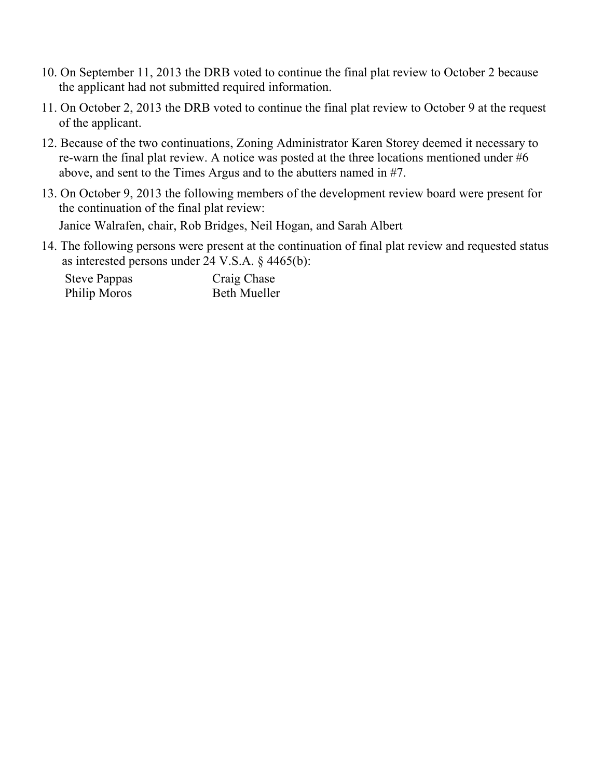- 10. On September 11, 2013 the DRB voted to continue the final plat review to October 2 because the applicant had not submitted required information.
- 11. On October 2, 2013 the DRB voted to continue the final plat review to October 9 at the request of the applicant.
- 12. Because of the two continuations, Zoning Administrator Karen Storey deemed it necessary to re-warn the final plat review. A notice was posted at the three locations mentioned under #6 above, and sent to the Times Argus and to the abutters named in #7.
- 13. On October 9, 2013 the following members of the development review board were present for the continuation of the final plat review: Janice Walrafen, chair, Rob Bridges, Neil Hogan, and Sarah Albert
- 14. The following persons were present at the continuation of final plat review and requested status as interested persons under 24 V.S.A. § 4465(b):

| <b>Steve Pappas</b> | Craig Chase         |
|---------------------|---------------------|
| Philip Moros        | <b>Beth Mueller</b> |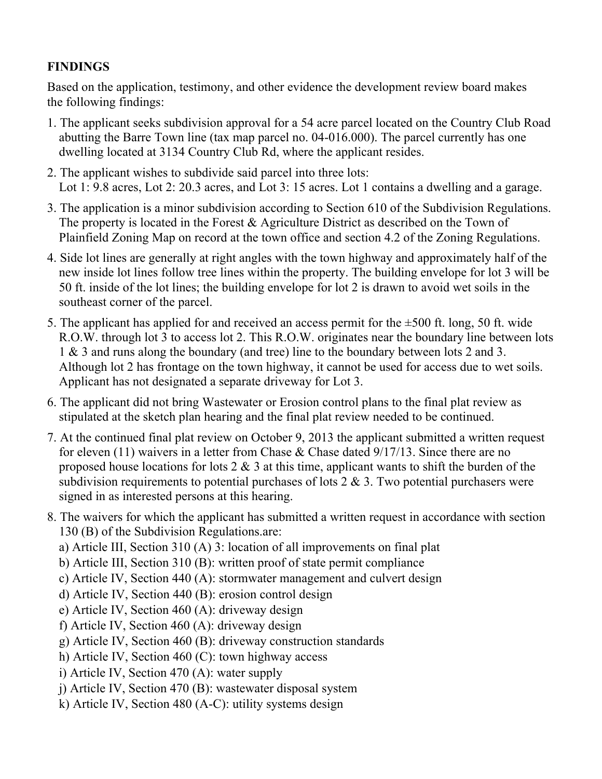## **FINDINGS**

Based on the application, testimony, and other evidence the development review board makes the following findings:

- 1. The applicant seeks subdivision approval for a 54 acre parcel located on the Country Club Road abutting the Barre Town line (tax map parcel no. 04-016.000). The parcel currently has one dwelling located at 3134 Country Club Rd, where the applicant resides.
- 2. The applicant wishes to subdivide said parcel into three lots: Lot 1: 9.8 acres, Lot 2: 20.3 acres, and Lot 3: 15 acres. Lot 1 contains a dwelling and a garage.
- 3. The application is a minor subdivision according to Section 610 of the Subdivision Regulations. The property is located in the Forest & Agriculture District as described on the Town of Plainfield Zoning Map on record at the town office and section 4.2 of the Zoning Regulations.
- 4. Side lot lines are generally at right angles with the town highway and approximately half of the new inside lot lines follow tree lines within the property. The building envelope for lot 3 will be 50 ft. inside of the lot lines; the building envelope for lot 2 is drawn to avoid wet soils in the southeast corner of the parcel.
- 5. The applicant has applied for and received an access permit for the ±500 ft. long, 50 ft. wide R.O.W. through lot 3 to access lot 2. This R.O.W. originates near the boundary line between lots 1 & 3 and runs along the boundary (and tree) line to the boundary between lots 2 and 3. Although lot 2 has frontage on the town highway, it cannot be used for access due to wet soils. Applicant has not designated a separate driveway for Lot 3.
- 6. The applicant did not bring Wastewater or Erosion control plans to the final plat review as stipulated at the sketch plan hearing and the final plat review needed to be continued.
- 7. At the continued final plat review on October 9, 2013 the applicant submitted a written request for eleven (11) waivers in a letter from Chase & Chase dated 9/17/13. Since there are no proposed house locations for lots  $2 \& 3$  at this time, applicant wants to shift the burden of the subdivision requirements to potential purchases of lots  $2 \& 3$ . Two potential purchasers were signed in as interested persons at this hearing.
- 8. The waivers for which the applicant has submitted a written request in accordance with section 130 (B) of the Subdivision Regulations.are:
	- a) Article III, Section 310 (A) 3: location of all improvements on final plat
	- b) Article III, Section 310 (B): written proof of state permit compliance
	- c) Article IV, Section 440 (A): stormwater management and culvert design
	- d) Article IV, Section 440 (B): erosion control design
	- e) Article IV, Section 460 (A): driveway design
	- f) Article IV, Section 460 (A): driveway design
	- g) Article IV, Section 460 (B): driveway construction standards
	- h) Article IV, Section 460 (C): town highway access
	- i) Article IV, Section 470 (A): water supply
	- j) Article IV, Section 470 (B): wastewater disposal system
	- k) Article IV, Section 480 (A-C): utility systems design